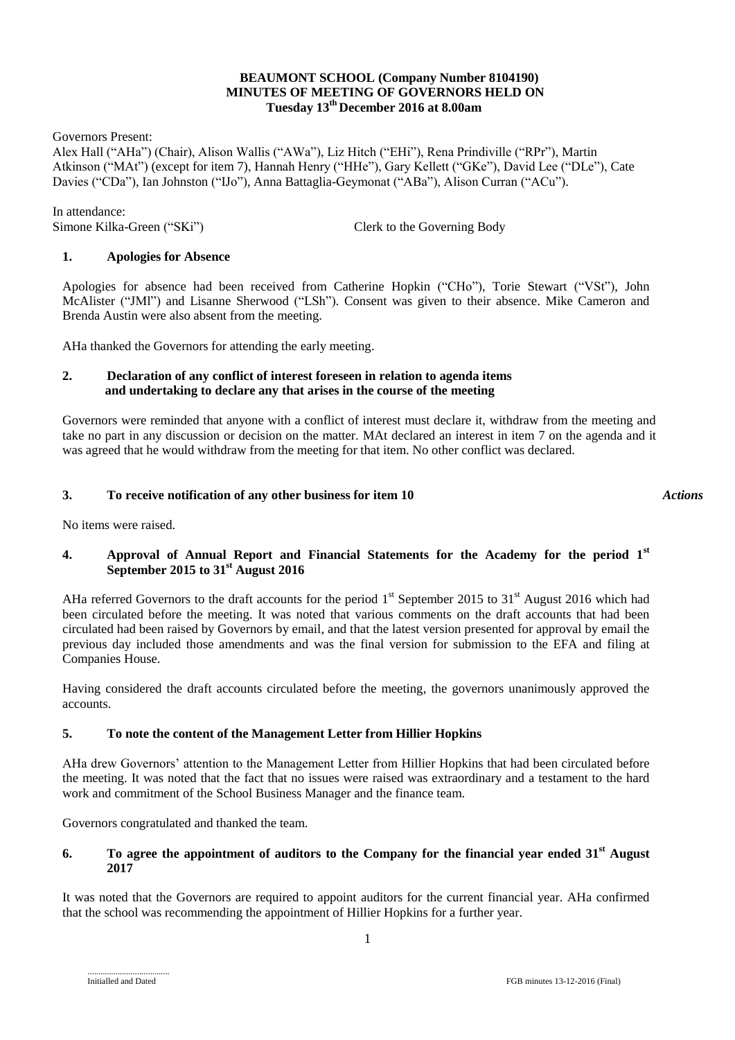## **BEAUMONT SCHOOL (Company Number 8104190) MINUTES OF MEETING OF GOVERNORS HELD ON Tuesday 13 th December 2016 at 8.00am**

Governors Present:

Alex Hall ("AHa") (Chair), Alison Wallis ("AWa"), Liz Hitch ("EHi"), Rena Prindiville ("RPr"), Martin Atkinson ("MAt") (except for item 7), Hannah Henry ("HHe"), Gary Kellett ("GKe"), David Lee ("DLe"), Cate Davies ("CDa"), Ian Johnston ("IJo"), Anna Battaglia-Geymonat ("ABa"), Alison Curran ("ACu").

In attendance:

Simone Kilka-Green ("SKi") Clerk to the Governing Body

## **1. Apologies for Absence**

Apologies for absence had been received from Catherine Hopkin ("CHo"), Torie Stewart ("VSt"), John McAlister ("JMl") and Lisanne Sherwood ("LSh"). Consent was given to their absence. Mike Cameron and Brenda Austin were also absent from the meeting.

AHa thanked the Governors for attending the early meeting.

### **2. Declaration of any conflict of interest foreseen in relation to agenda items and undertaking to declare any that arises in the course of the meeting**

Governors were reminded that anyone with a conflict of interest must declare it, withdraw from the meeting and take no part in any discussion or decision on the matter. MAt declared an interest in item 7 on the agenda and it was agreed that he would withdraw from the meeting for that item. No other conflict was declared.

#### **3. To receive notification of any other business for item 10**

No items were raised.

## **4. Approval of Annual Report and Financial Statements for the Academy for the period 1st September 2015 to 31st August 2016**

AHa referred Governors to the draft accounts for the period  $1<sup>st</sup>$  September 2015 to 31 $<sup>st</sup>$  August 2016 which had</sup> been circulated before the meeting. It was noted that various comments on the draft accounts that had been circulated had been raised by Governors by email, and that the latest version presented for approval by email the previous day included those amendments and was the final version for submission to the EFA and filing at Companies House.

Having considered the draft accounts circulated before the meeting, the governors unanimously approved the accounts.

## **5. To note the content of the Management Letter from Hillier Hopkins**

AHa drew Governors' attention to the Management Letter from Hillier Hopkins that had been circulated before the meeting. It was noted that the fact that no issues were raised was extraordinary and a testament to the hard work and commitment of the School Business Manager and the finance team.

Governors congratulated and thanked the team.

## **6. To agree the appointment of auditors to the Company for the financial year ended 31st August 2017**

It was noted that the Governors are required to appoint auditors for the current financial year. AHa confirmed that the school was recommending the appointment of Hillier Hopkins for a further year.

*Actions*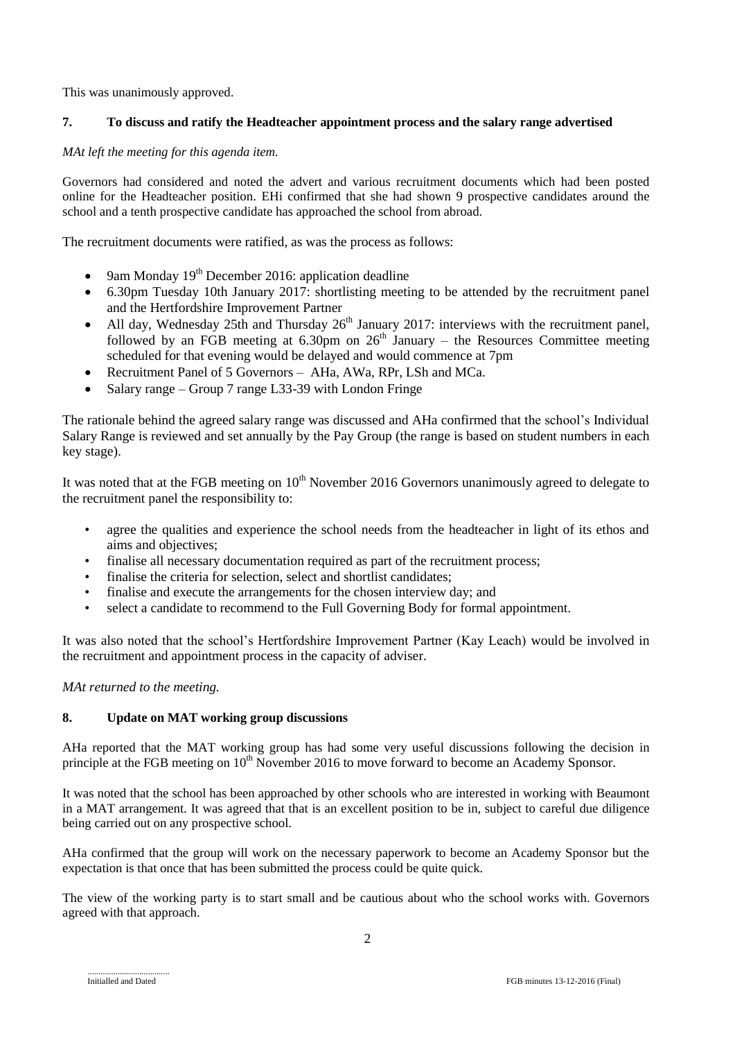This was unanimously approved.

# **7. To discuss and ratify the Headteacher appointment process and the salary range advertised**

## *MAt left the meeting for this agenda item.*

Governors had considered and noted the advert and various recruitment documents which had been posted online for the Headteacher position. EHi confirmed that she had shown 9 prospective candidates around the school and a tenth prospective candidate has approached the school from abroad.

The recruitment documents were ratified, as was the process as follows:

- 9am Monday  $19<sup>th</sup>$  December 2016: application deadline
- 6.30pm Tuesday 10th January 2017: shortlisting meeting to be attended by the recruitment panel and the Hertfordshire Improvement Partner
- All day, Wednesday 25th and Thursday  $26<sup>th</sup>$  January 2017: interviews with the recruitment panel, followed by an FGB meeting at  $6.30 \text{pm}$  on  $26^{\text{th}}$  January – the Resources Committee meeting scheduled for that evening would be delayed and would commence at 7pm
- Recruitment Panel of 5 Governors AHa, AWa, RPr, LSh and MCa.
- Salary range Group 7 range L33-39 with London Fringe

The rationale behind the agreed salary range was discussed and AHa confirmed that the school's Individual Salary Range is reviewed and set annually by the Pay Group (the range is based on student numbers in each key stage).

It was noted that at the FGB meeting on  $10<sup>th</sup>$  November 2016 Governors unanimously agreed to delegate to the recruitment panel the responsibility to:

- agree the qualities and experience the school needs from the headteacher in light of its ethos and aims and objectives;
- finalise all necessary documentation required as part of the recruitment process;
- finalise the criteria for selection, select and shortlist candidates:
- finalise and execute the arrangements for the chosen interview day; and
- select a candidate to recommend to the Full Governing Body for formal appointment.

It was also noted that the school's Hertfordshire Improvement Partner (Kay Leach) would be involved in the recruitment and appointment process in the capacity of adviser.

## *MAt returned to the meeting.*

## **8. Update on MAT working group discussions**

AHa reported that the MAT working group has had some very useful discussions following the decision in principle at the FGB meeting on 10<sup>th</sup> November 2016 to move forward to become an Academy Sponsor.

It was noted that the school has been approached by other schools who are interested in working with Beaumont in a MAT arrangement. It was agreed that that is an excellent position to be in, subject to careful due diligence being carried out on any prospective school.

AHa confirmed that the group will work on the necessary paperwork to become an Academy Sponsor but the expectation is that once that has been submitted the process could be quite quick.

The view of the working party is to start small and be cautious about who the school works with. Governors agreed with that approach.